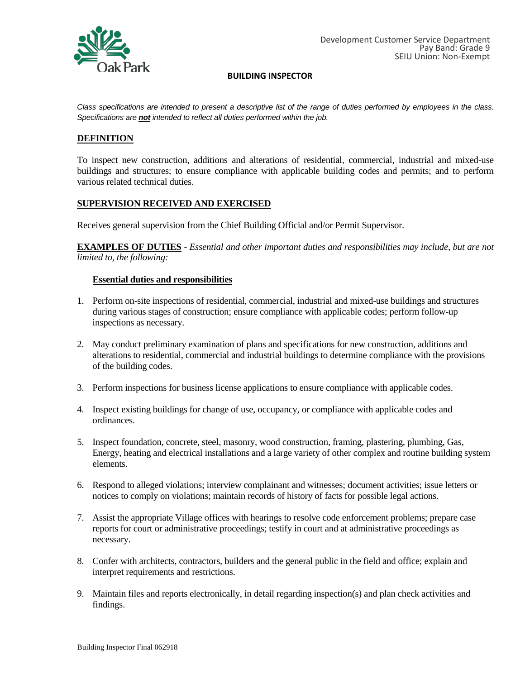

*Class specifications are intended to present a descriptive list of the range of duties performed by employees in the class. Specifications are not intended to reflect all duties performed within the job.*

## **DEFINITION**

To inspect new construction, additions and alterations of residential, commercial, industrial and mixed-use buildings and structures; to ensure compliance with applicable building codes and permits; and to perform various related technical duties.

### **SUPERVISION RECEIVED AND EXERCISED**

Receives general supervision from the Chief Building Official and/or Permit Supervisor.

**EXAMPLES OF DUTIES** - *Essential and other important duties and responsibilities may include, but are not limited to, the following:*

### **Essential duties and responsibilities**

- 1. Perform on-site inspections of residential, commercial, industrial and mixed-use buildings and structures during various stages of construction; ensure compliance with applicable codes; perform follow-up inspections as necessary.
- 2. May conduct preliminary examination of plans and specifications for new construction, additions and alterations to residential, commercial and industrial buildings to determine compliance with the provisions of the building codes.
- 3. Perform inspections for business license applications to ensure compliance with applicable codes.
- 4. Inspect existing buildings for change of use, occupancy, or compliance with applicable codes and ordinances.
- 5. Inspect foundation, concrete, steel, masonry, wood construction, framing, plastering, plumbing, Gas, Energy, heating and electrical installations and a large variety of other complex and routine building system elements.
- 6. Respond to alleged violations; interview complainant and witnesses; document activities; issue letters or notices to comply on violations; maintain records of history of facts for possible legal actions.
- 7. Assist the appropriate Village offices with hearings to resolve code enforcement problems; prepare case reports for court or administrative proceedings; testify in court and at administrative proceedings as necessary.
- 8. Confer with architects, contractors, builders and the general public in the field and office; explain and interpret requirements and restrictions.
- 9. Maintain files and reports electronically, in detail regarding inspection(s) and plan check activities and findings.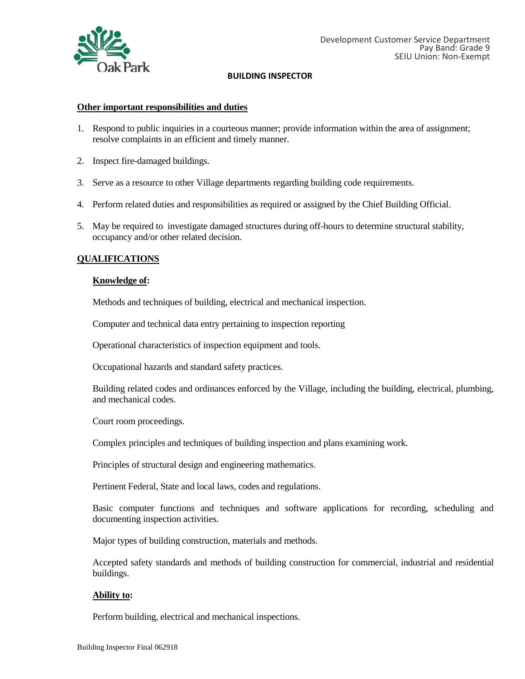

### **Other important responsibilities and duties**

- 1. Respond to public inquiries in a courteous manner; provide information within the area of assignment; resolve complaints in an efficient and timely manner.
- 2. Inspect fire-damaged buildings.
- 3. Serve as a resource to other Village departments regarding building code requirements.
- 4. Perform related duties and responsibilities as required or assigned by the Chief Building Official.
- 5. May be required to investigate damaged structures during off-hours to determine structural stability, occupancy and/or other related decision.

## **QUALIFICATIONS**

### **Knowledge of:**

Methods and techniques of building, electrical and mechanical inspection.

Computer and technical data entry pertaining to inspection reporting

Operational characteristics of inspection equipment and tools.

Occupational hazards and standard safety practices.

Building related codes and ordinances enforced by the Village, including the building, electrical, plumbing, and mechanical codes.

Court room proceedings.

Complex principles and techniques of building inspection and plans examining work.

Principles of structural design and engineering mathematics.

Pertinent Federal, State and local laws, codes and regulations.

Basic computer functions and techniques and software applications for recording, scheduling and documenting inspection activities.

Major types of building construction, materials and methods.

Accepted safety standards and methods of building construction for commercial, industrial and residential buildings.

## **Ability to:**

Perform building, electrical and mechanical inspections.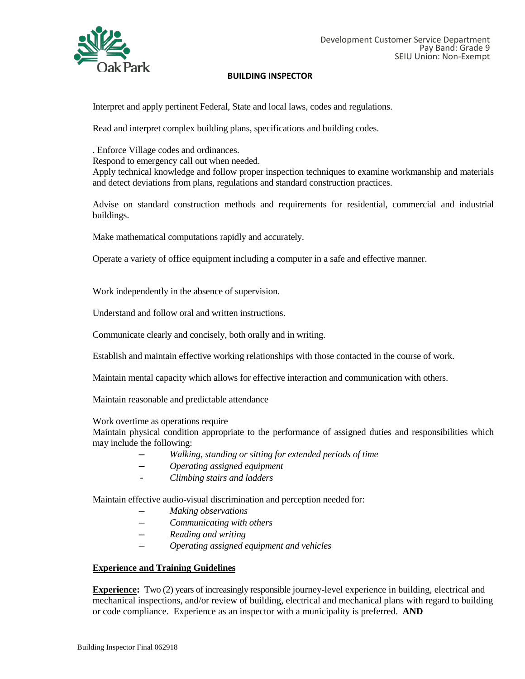

Interpret and apply pertinent Federal, State and local laws, codes and regulations.

Read and interpret complex building plans, specifications and building codes.

. Enforce Village codes and ordinances. Respond to emergency call out when needed. Apply technical knowledge and follow proper inspection techniques to examine workmanship and materials and detect deviations from plans, regulations and standard construction practices.

Advise on standard construction methods and requirements for residential, commercial and industrial buildings.

Make mathematical computations rapidly and accurately.

Operate a variety of office equipment including a computer in a safe and effective manner.

Work independently in the absence of supervision.

Understand and follow oral and written instructions.

Communicate clearly and concisely, both orally and in writing.

Establish and maintain effective working relationships with those contacted in the course of work.

Maintain mental capacity which allows for effective interaction and communication with others.

Maintain reasonable and predictable attendance

Work overtime as operations require

Maintain physical condition appropriate to the performance of assigned duties and responsibilities which may include the following:

- *─ Walking, standing or sitting for extended periods of time*
- *─ Operating assigned equipment*
- *- Climbing stairs and ladders*

Maintain effective audio-visual discrimination and perception needed for:

- *─ Making observations*
- *─ Communicating with others*
- *─ Reading and writing*
- *─ Operating assigned equipment and vehicles*

## **Experience and Training Guidelines**

**Experience:** Two (2) years of increasingly responsible journey-level experience in building, electrical and mechanical inspections, and/or review of building, electrical and mechanical plans with regard to building or code compliance. Experience as an inspector with a municipality is preferred. **AND**